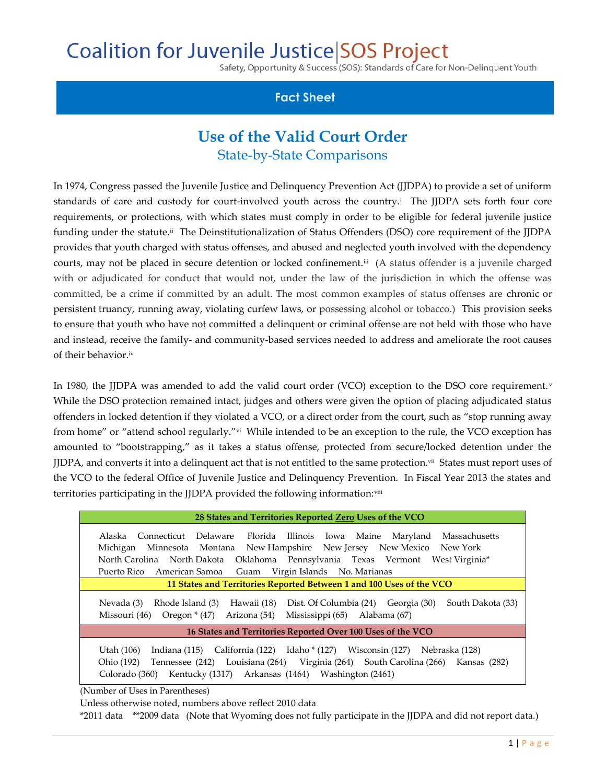## **Coalition for Juvenile Justice SOS Project**

Safety, Opportunity & Success (SOS): Standards of Care for Non-Delinguent Youth

## **Fact Sheet**

## **Use of the Valid Court Order** State-by-State Comparisons

In 1974, Congress passed the Juvenile Justice and Delinquency Prevention Act (JJDPA) to provide a set of uniform standards of care and custody for court-involved youth across the country.<sup>i</sup> The JJDPA sets forth four core requirements, or protections, with which states must comply in order to be eligible for federal juvenile justice funding under the statute.# The Deinstitutionalization of Status Offenders (DSO) core requirement of the JJDPA provides that youth charged with status offenses, and abused and neglected youth involved with the dependency courts, may not be placed in secure detention or locked confinement.iii (A status offender is a juvenile charged with or adjudicated for conduct that would not, under the law of the jurisdiction in which the offense was committed, be a crime if committed by an adult. The most common examples of status offenses are chronic or persistent truancy, running away, violating curfew laws, or possessing alcohol or tobacco.) This provision seeks to ensure that youth who have not committed a delinquent or criminal offense are not held with those who have and instead, receive the family- and community-based services needed to address and ameliorate the root causes of their behavior.iv

In 1980, the JJDPA was amended to add the valid court order (VCO) exception to the DSO core requirement.<sup>v</sup> While the DSO protection remained intact, judges and others were given the option of placing adjudicated status offenders in locked detention if they violated a VCO, or a direct order from the court, such as "stop running away from home" or "attend school regularly."<sup>vi</sup> While intended to be an exception to the rule, the VCO exception has amounted to "bootstrapping," as it takes a status offense, protected from secure/locked detention under the <code>JJDPA</code>, and converts it into a delinquent act that is not entitled to the same protection. $^{\rm vi}$  States must report uses of the VCO to the federal Office of Juvenile Justice and Delinquency Prevention. In Fiscal Year 2013 the states and territories participating in the JJDPA provided the following information:<sup>viii</sup>

| 28 States and Territories Reported Zero Uses of the VCO                                                                                                                                                                                                                                                                    |
|----------------------------------------------------------------------------------------------------------------------------------------------------------------------------------------------------------------------------------------------------------------------------------------------------------------------------|
| Alaska Connecticut Delaware<br>Florida Illinois Iowa Maine Maryland<br>Massachusetts<br>Michigan Minnesota Montana New-Hampshire New-Jersey New-Mexico New-York<br>North Carolina North Dakota<br>Oklahoma Pennsylvania Texas Vermont West Virginia*<br>Guam Virgin Islands No. Marianas<br>American Samoa<br>Puerto Rico- |
| 11 States and Territories Reported Between 1 and 100 Uses of the VCO                                                                                                                                                                                                                                                       |
| Hawaii (18)<br>Dist. Of Columbia (24) Georgia (30)<br>Rhode Island (3)<br>South Dakota (33)<br>Nevada (3)<br>Arizona (54)<br>Mississippi (65)<br>Alabama (67)<br>Missouri (46) Oregon $*(47)$                                                                                                                              |
| 16 States and Territories Reported Over 100 Uses of the VCO                                                                                                                                                                                                                                                                |
| Indiana (115) California (122) Idaho * (127) Wisconsin (127) Nebraska (128)<br>Utah (106)<br>Tennessee (242) Louisiana (264) Virginia (264) South Carolina (266) Kansas (282)<br>Ohio (192)<br>Kentucky (1317) Arkansas (1464) Washington (2461)<br>Colorado (360)                                                         |

(Number of Uses in Parentheses)

Unless otherwise noted, numbers above reflect 2010 data

\*2011 data \*\*2009 data (Note that Wyoming does not fully participate in the JJDPA and did not report data.)